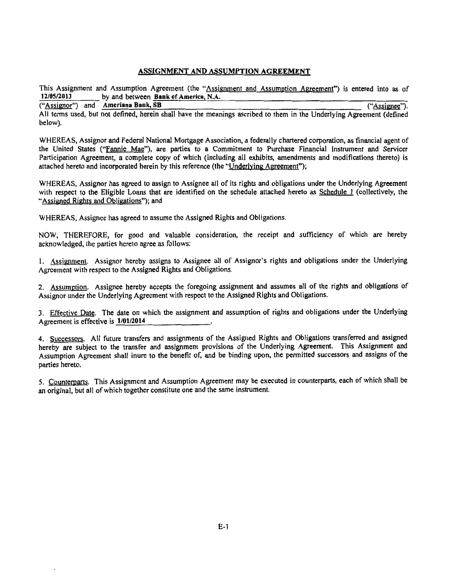## ASSIGNMENT AND ASSUMPTION AGREEMENT

This Assignment and Assumption Agreement (the "Assignment and Assumption Agreement") is entered into as of 12/05/2013 by and between Bank of America, N.A. by and between **Bank of America, N.A.**<br>Ameriana Bank, SB ("Assignee").

("Assignor") and Ameriana Bank, SB All terms used, but not defined, herein shall have the meanings ascribed to them in the Underlying Agreement (defined below).

WHEREAS, Assignor and Federal National Mortgage Association, a federally chartered corporation, as financial agent of the United States ("Fannie Mae"), are parties to a Commitment to Purchase Financial Instrument and Servicer Participation Agreement, a complete copy of which (including all exhibits, amendments and modifications thereto) is attached hereto and incorporated herein by this reference (the "Underlying Agreement");

WHEREAS, Assignor has agreed to assign to Assignee all of its rights and obligations under the Underlying Agreement with respect to the Eligible Loans that are identified on the schedule attached hereto as Schedule 1 (collectively, the "Assigned Rights and Obligations"); and

WHEREAS, Assignee has agreed to assume the Assigned Rights and Obligations.

NOW, THEREFORE, for good and valuable consideration, the receipt and sufficiency of which are hereby acknowledged, the parties hereto agree as follows:

1. Assignment. Assignor hereby assigns to Assignee all of Assignor's rights and obligations under the Underlying Agreement with respect to the Assigned Rights and Obligations.

2. Assumption. Assignee hereby accepts the foregoing assignment and assumes all of the rights and obligations of Assignor under the Underlying Agreement with respect to the Assigned Rights and Obligations.

3. Effective Date. The date on which the assignment and assumption of rights and obligations under the Underlying Agreement is effective is  $1/01/2014$ 

4. Successors. All future transfers and assignments of the Assigned Rights and Obligations transferred and assigned hereby are subject to the transfer and assignment provisions of the Underlying Agreement. This Assignment and Assumption Agreement shall inure to the benefit of, and be binding upon, the permitted successors and assigns of the parties hereto.

5. Counterparts. This Assignment and Assumption Agreement may be executed in counterparts, each of which shall be an original, but all of which together constitute one and the same instrument.